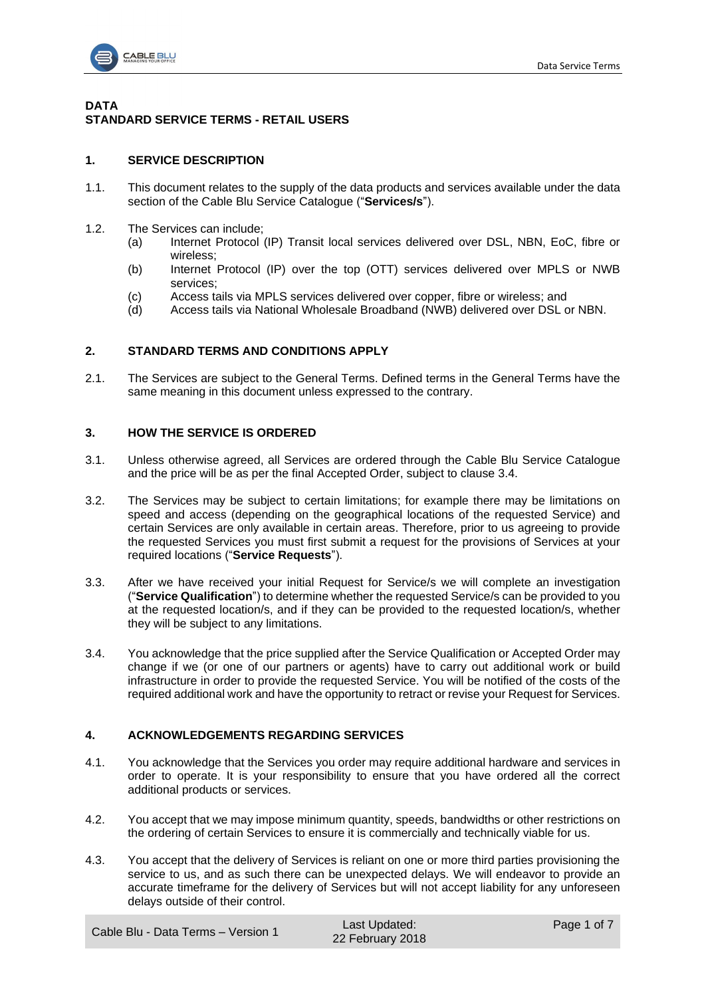

# **DATA STANDARD SERVICE TERMS - RETAIL USERS**

### **1. SERVICE DESCRIPTION**

- 1.1. This document relates to the supply of the data products and services available under the data section of the Cable Blu Service Catalogue ("**Services/s**").
- 1.2. The Services can include;
	- (a) Internet Protocol (IP) Transit local services delivered over DSL, NBN, EoC, fibre or wireless;
	- (b) Internet Protocol (IP) over the top (OTT) services delivered over MPLS or NWB services;
	- (c) Access tails via MPLS services delivered over copper, fibre or wireless; and
	- (d) Access tails via National Wholesale Broadband (NWB) delivered over DSL or NBN.

### **2. STANDARD TERMS AND CONDITIONS APPLY**

2.1. The Services are subject to the General Terms. Defined terms in the General Terms have the same meaning in this document unless expressed to the contrary.

### **3. HOW THE SERVICE IS ORDERED**

- 3.1. Unless otherwise agreed, all Services are ordered through the Cable Blu Service Catalogue and the price will be as per the final Accepted Order, subject to clause [3.4.](#page-0-0)
- 3.2. The Services may be subject to certain limitations; for example there may be limitations on speed and access (depending on the geographical locations of the requested Service) and certain Services are only available in certain areas. Therefore, prior to us agreeing to provide the requested Services you must first submit a request for the provisions of Services at your required locations ("**Service Requests**").
- 3.3. After we have received your initial Request for Service/s we will complete an investigation ("**Service Qualification**") to determine whether the requested Service/s can be provided to you at the requested location/s, and if they can be provided to the requested location/s, whether they will be subject to any limitations.
- <span id="page-0-0"></span>3.4. You acknowledge that the price supplied after the Service Qualification or Accepted Order may change if we (or one of our partners or agents) have to carry out additional work or build infrastructure in order to provide the requested Service. You will be notified of the costs of the required additional work and have the opportunity to retract or revise your Request for Services.

#### **4. ACKNOWLEDGEMENTS REGARDING SERVICES**

- 4.1. You acknowledge that the Services you order may require additional hardware and services in order to operate. It is your responsibility to ensure that you have ordered all the correct additional products or services.
- 4.2. You accept that we may impose minimum quantity, speeds, bandwidths or other restrictions on the ordering of certain Services to ensure it is commercially and technically viable for us.
- 4.3. You accept that the delivery of Services is reliant on one or more third parties provisioning the service to us, and as such there can be unexpected delays. We will endeavor to provide an accurate timeframe for the delivery of Services but will not accept liability for any unforeseen delays outside of their control.

Cable Blu - Data Terms – Version 1 Last Updated: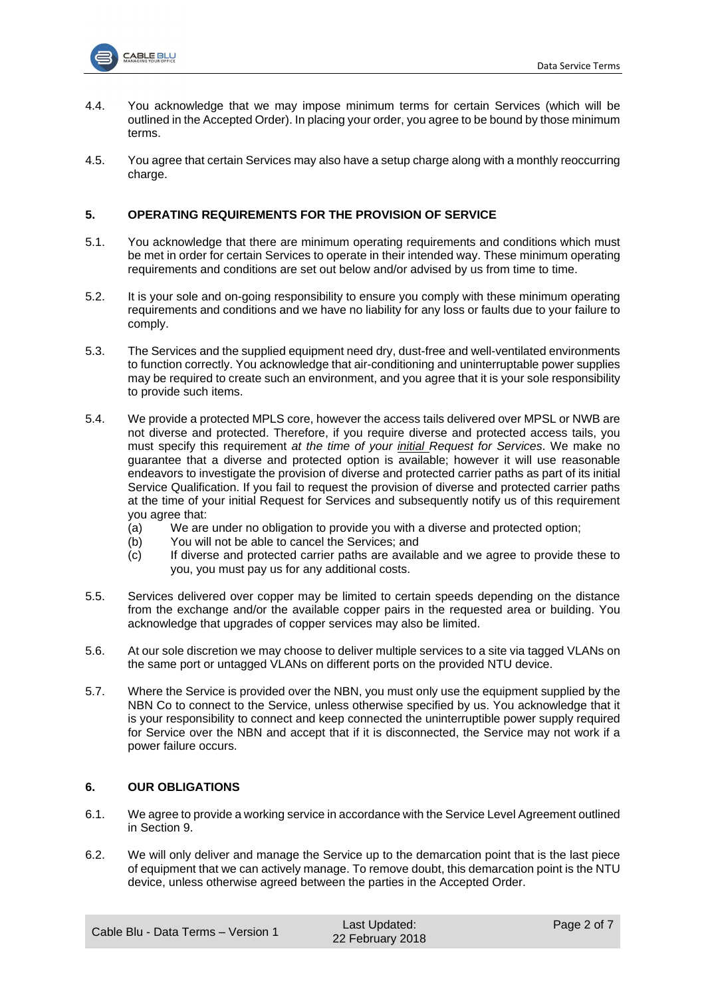

- 4.4. You acknowledge that we may impose minimum terms for certain Services (which will be outlined in the Accepted Order). In placing your order, you agree to be bound by those minimum terms.
- 4.5. You agree that certain Services may also have a setup charge along with a monthly reoccurring charge.

### **5. OPERATING REQUIREMENTS FOR THE PROVISION OF SERVICE**

- 5.1. You acknowledge that there are minimum operating requirements and conditions which must be met in order for certain Services to operate in their intended way. These minimum operating requirements and conditions are set out below and/or advised by us from time to time.
- 5.2. It is your sole and on-going responsibility to ensure you comply with these minimum operating requirements and conditions and we have no liability for any loss or faults due to your failure to comply.
- 5.3. The Services and the supplied equipment need dry, dust-free and well-ventilated environments to function correctly. You acknowledge that air-conditioning and uninterruptable power supplies may be required to create such an environment, and you agree that it is your sole responsibility to provide such items.
- 5.4. We provide a protected MPLS core, however the access tails delivered over MPSL or NWB are not diverse and protected. Therefore, if you require diverse and protected access tails, you must specify this requirement *at the time of your initial Request for Services*. We make no guarantee that a diverse and protected option is available; however it will use reasonable endeavors to investigate the provision of diverse and protected carrier paths as part of its initial Service Qualification. If you fail to request the provision of diverse and protected carrier paths at the time of your initial Request for Services and subsequently notify us of this requirement you agree that:
	- (a) We are under no obligation to provide you with a diverse and protected option;
	- (b) You will not be able to cancel the Services; and
	- (c) If diverse and protected carrier paths are available and we agree to provide these to you, you must pay us for any additional costs.
- 5.5. Services delivered over copper may be limited to certain speeds depending on the distance from the exchange and/or the available copper pairs in the requested area or building. You acknowledge that upgrades of copper services may also be limited.
- 5.6. At our sole discretion we may choose to deliver multiple services to a site via tagged VLANs on the same port or untagged VLANs on different ports on the provided NTU device.
- 5.7. Where the Service is provided over the NBN, you must only use the equipment supplied by the NBN Co to connect to the Service, unless otherwise specified by us. You acknowledge that it is your responsibility to connect and keep connected the uninterruptible power supply required for Service over the NBN and accept that if it is disconnected, the Service may not work if a power failure occurs.

# **6. OUR OBLIGATIONS**

- 6.1. We agree to provide a working service in accordance with the Service Level Agreement outlined in Section [9.](#page-2-0)
- 6.2. We will only deliver and manage the Service up to the demarcation point that is the last piece of equipment that we can actively manage. To remove doubt, this demarcation point is the NTU device, unless otherwise agreed between the parties in the Accepted Order.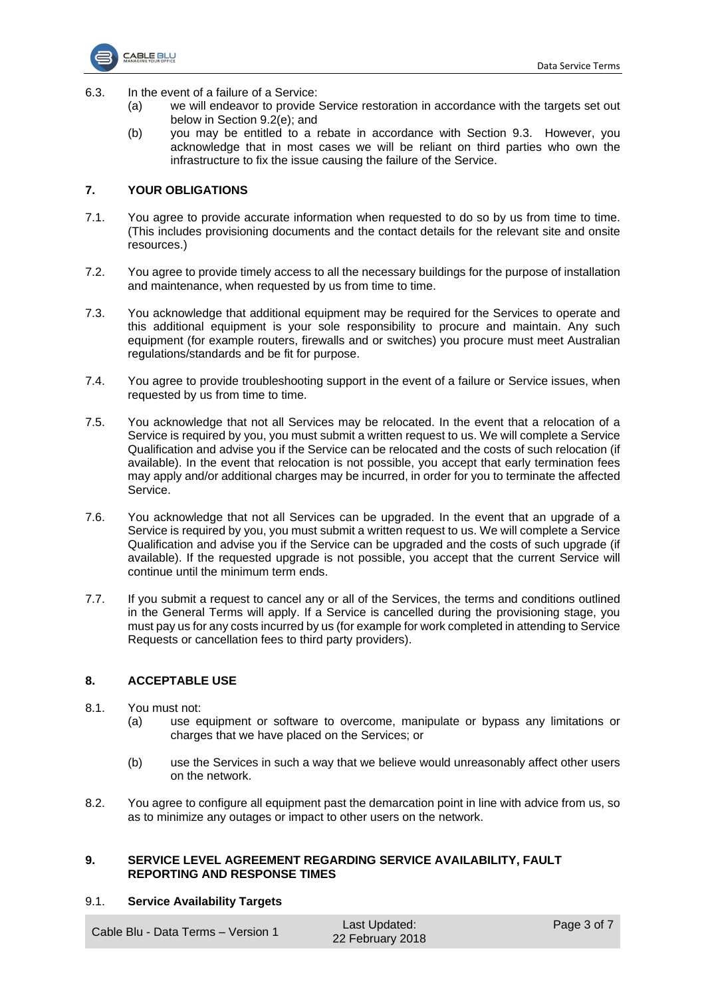

- 6.3. In the event of a failure of a Service:
	- (a) we will endeavor to provide Service restoration in accordance with the targets set out below in Section [9.2\(e\);](#page-4-0) and
	- (b) you may be entitled to a rebate in accordance with Section [9.3.](#page-5-0) However, you acknowledge that in most cases we will be reliant on third parties who own the infrastructure to fix the issue causing the failure of the Service.

### **7. YOUR OBLIGATIONS**

- 7.1. You agree to provide accurate information when requested to do so by us from time to time. (This includes provisioning documents and the contact details for the relevant site and onsite resources.)
- 7.2. You agree to provide timely access to all the necessary buildings for the purpose of installation and maintenance, when requested by us from time to time.
- 7.3. You acknowledge that additional equipment may be required for the Services to operate and this additional equipment is your sole responsibility to procure and maintain. Any such equipment (for example routers, firewalls and or switches) you procure must meet Australian regulations/standards and be fit for purpose.
- 7.4. You agree to provide troubleshooting support in the event of a failure or Service issues, when requested by us from time to time.
- 7.5. You acknowledge that not all Services may be relocated. In the event that a relocation of a Service is required by you, you must submit a written request to us. We will complete a Service Qualification and advise you if the Service can be relocated and the costs of such relocation (if available). In the event that relocation is not possible, you accept that early termination fees may apply and/or additional charges may be incurred, in order for you to terminate the affected Service.
- 7.6. You acknowledge that not all Services can be upgraded. In the event that an upgrade of a Service is required by you, you must submit a written request to us. We will complete a Service Qualification and advise you if the Service can be upgraded and the costs of such upgrade (if available). If the requested upgrade is not possible, you accept that the current Service will continue until the minimum term ends.
- 7.7. If you submit a request to cancel any or all of the Services, the terms and conditions outlined in the General Terms will apply. If a Service is cancelled during the provisioning stage, you must pay us for any costs incurred by us (for example for work completed in attending to Service Requests or cancellation fees to third party providers).

#### **8. ACCEPTABLE USE**

- 8.1. You must not:
	- (a) use equipment or software to overcome, manipulate or bypass any limitations or charges that we have placed on the Services; or
	- (b) use the Services in such a way that we believe would unreasonably affect other users on the network.
- 8.2. You agree to configure all equipment past the demarcation point in line with advice from us, so as to minimize any outages or impact to other users on the network.

#### **9. SERVICE LEVEL AGREEMENT REGARDING SERVICE AVAILABILITY, FAULT REPORTING AND RESPONSE TIMES**

#### <span id="page-2-1"></span>9.1. **Service Availability Targets**

<span id="page-2-0"></span>Cable Blu - Data Terms – Version 1 Last Updated: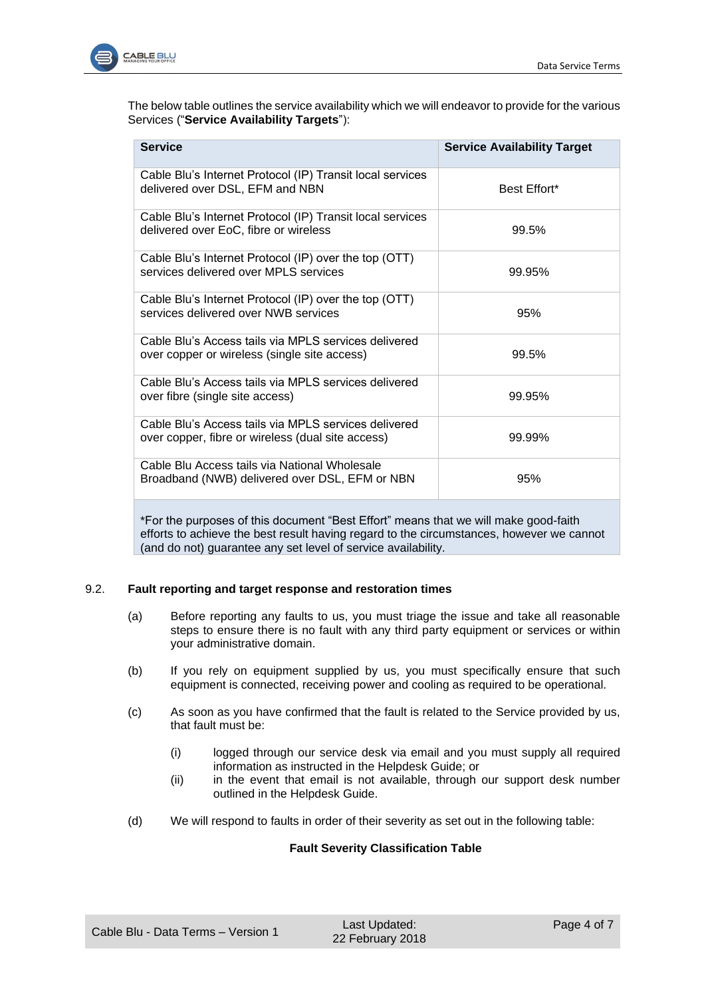

The below table outlines the service availability which we will endeavor to provide for the various Services ("**Service Availability Targets**"):

| <b>Service</b>                                                                                            | <b>Service Availability Target</b> |
|-----------------------------------------------------------------------------------------------------------|------------------------------------|
| Cable Blu's Internet Protocol (IP) Transit local services<br>delivered over DSL, EFM and NBN              | Best Effort*                       |
| Cable Blu's Internet Protocol (IP) Transit local services<br>delivered over EoC, fibre or wireless        | 99.5%                              |
| Cable Blu's Internet Protocol (IP) over the top (OTT)<br>services delivered over MPLS services            | 99.95%                             |
| Cable Blu's Internet Protocol (IP) over the top (OTT)<br>services delivered over NWB services             | 95%                                |
| Cable Blu's Access tails via MPLS services delivered<br>over copper or wireless (single site access)      | 99.5%                              |
| Cable Blu's Access tails via MPLS services delivered<br>over fibre (single site access)                   | 99.95%                             |
| Cable Blu's Access tails via MPLS services delivered<br>over copper, fibre or wireless (dual site access) | 99.99%                             |
| Cable Blu Access tails via National Wholesale<br>Broadband (NWB) delivered over DSL, EFM or NBN           | 95%                                |

\*For the purposes of this document "Best Effort" means that we will make good-faith efforts to achieve the best result having regard to the circumstances, however we cannot (and do not) guarantee any set level of service availability.

## 9.2. **Fault reporting and target response and restoration times**

- (a) Before reporting any faults to us, you must triage the issue and take all reasonable steps to ensure there is no fault with any third party equipment or services or within your administrative domain.
- (b) If you rely on equipment supplied by us, you must specifically ensure that such equipment is connected, receiving power and cooling as required to be operational.
- <span id="page-3-0"></span>(c) As soon as you have confirmed that the fault is related to the Service provided by us, that fault must be:
	- (i) logged through our service desk via email and you must supply all required information as instructed in the Helpdesk Guide; or
	- (ii) in the event that email is not available, through our support desk number outlined in the Helpdesk Guide.
- (d) We will respond to faults in order of their severity as set out in the following table:

### **Fault Severity Classification Table**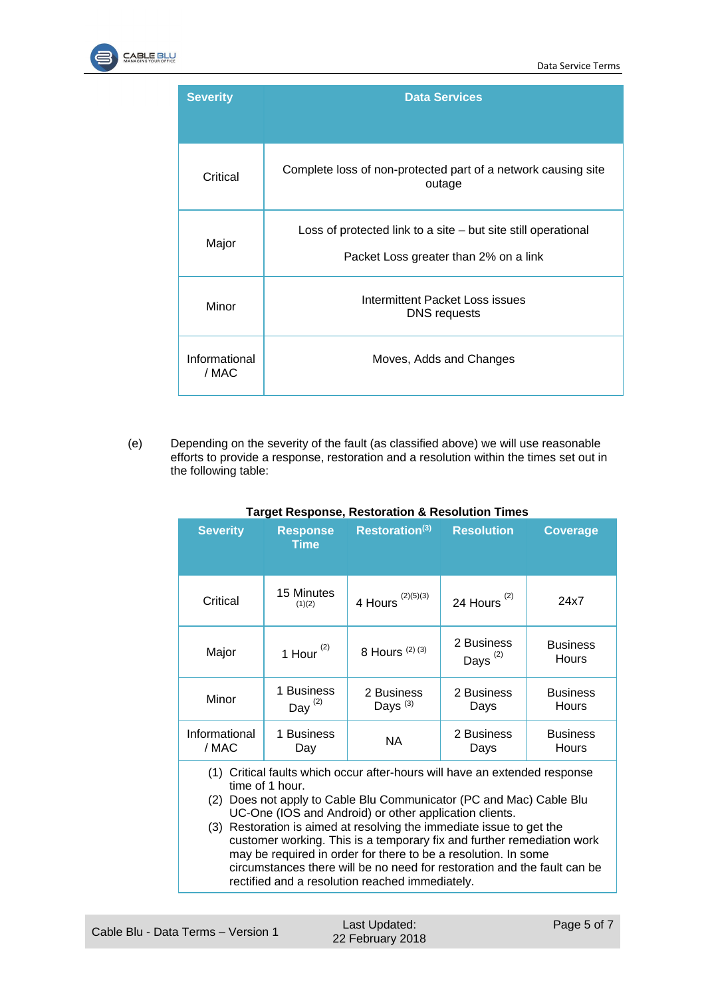

| <b>Severity</b>        | <b>Data Services</b>                                                                                   |  |
|------------------------|--------------------------------------------------------------------------------------------------------|--|
| Critical               | Complete loss of non-protected part of a network causing site<br>outage                                |  |
| Major                  | Loss of protected link to a site – but site still operational<br>Packet Loss greater than 2% on a link |  |
| Minor                  | Intermittent Packet Loss issues<br><b>DNS</b> requests                                                 |  |
| Informational<br>/ MAC | Moves, Adds and Changes                                                                                |  |

<span id="page-4-0"></span>(e) Depending on the severity of the fault (as classified above) we will use reasonable efforts to provide a response, restoration and a resolution within the times set out in the following table:

| <b>Severity</b>                                                                                 | <b>Response</b><br><b>Time</b> | Restoration(3)           | <b>Resolution</b>           | <b>Coverage</b>          |  |
|-------------------------------------------------------------------------------------------------|--------------------------------|--------------------------|-----------------------------|--------------------------|--|
| Critical                                                                                        | 15 Minutes<br>(1)(2)           | (2)(5)(3)<br>4 Hours     | 24 Hours $(2)$              | 24x7                     |  |
| Major                                                                                           | 1 Hour $(2)$                   | 8 Hours (2) (3)          | 2 Business<br>Days $^{(2)}$ | <b>Business</b><br>Hours |  |
| Minor                                                                                           | 1 Business<br>Day $(2)$        | 2 Business<br>Days $(3)$ | 2 Business<br>Days          | <b>Business</b><br>Hours |  |
| Informational<br>/ MAC                                                                          | 1 Business<br>Day              | NA.                      | 2 Business<br>Days          | <b>Business</b><br>Hours |  |
| Critical faults which occur after-hours will have an extended response<br>(1)<br>time of 1 hour |                                |                          |                             |                          |  |

### **Target Response, Restoration & Resolution Times**

time of 1 hour. (2) Does not apply to Cable Blu Communicator (PC and Mac) Cable Blu UC-One (IOS and Android) or other application clients.

(3) Restoration is aimed at resolving the immediate issue to get the customer working. This is a temporary fix and further remediation work may be required in order for there to be a resolution. In some circumstances there will be no need for restoration and the fault can be rectified and a resolution reached immediately.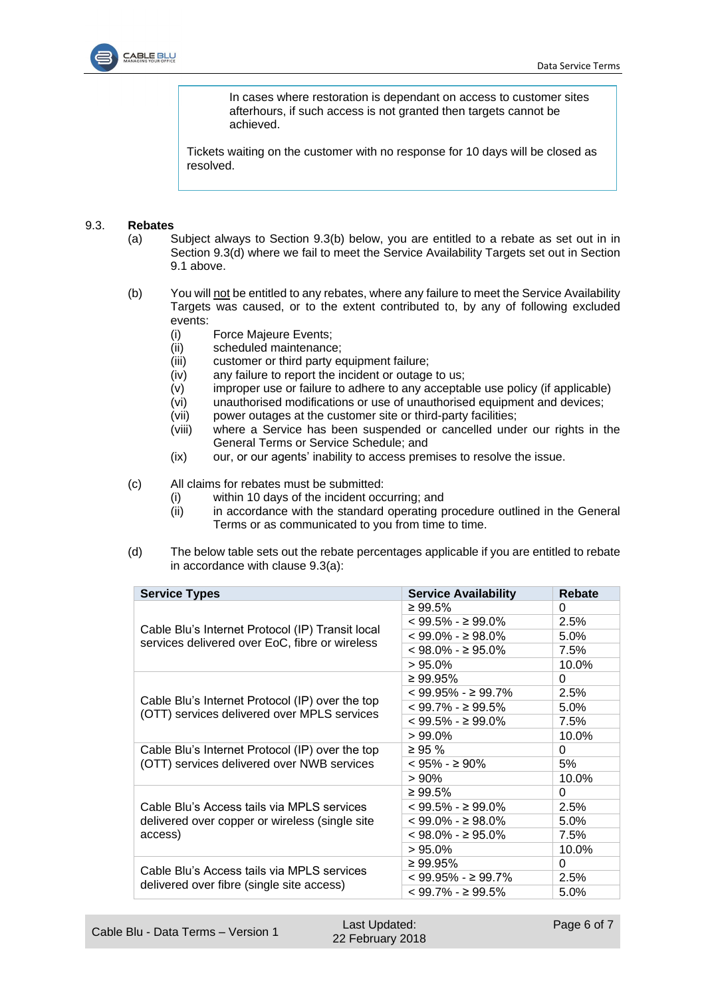

In cases where restoration is dependant on access to customer sites afterhours, if such access is not granted then targets cannot be achieved.

Tickets waiting on the customer with no response for 10 days will be closed as resolved.

#### <span id="page-5-3"></span><span id="page-5-0"></span>9.3. **Rebates**

- (a) Subject always to Section [9.3\(b\)](#page-5-1) below, you are entitled to a rebate as set out in in Section [9.3\(d\)](#page-5-2) where we fail to meet the Service Availability Targets set out in Section [9.1](#page-2-1) above.
- <span id="page-5-1"></span>(b) You will not be entitled to any rebates, where any failure to meet the Service Availability Targets was caused, or to the extent contributed to, by any of following excluded events:
	- (i) Force Majeure Events;
	- (ii) scheduled maintenance;
	- (iii) customer or third party equipment failure;
	- (iv) any failure to report the incident or outage to us;
	- (v) improper use or failure to adhere to any acceptable use policy (if applicable)
	- (vi) unauthorised modifications or use of unauthorised equipment and devices;
	- (vii) power outages at the customer site or third-party facilities;
	- (viii) where a Service has been suspended or cancelled under our rights in the General Terms or Service Schedule; and
	- (ix) our, or our agents' inability to access premises to resolve the issue.

(c) All claims for rebates must be submitted:

- (i) within 10 days of the incident occurring; and
- (ii) in accordance with the standard operating procedure outlined in the General Terms or as communicated to you from time to time.
- <span id="page-5-2"></span>(d) The below table sets out the rebate percentages applicable if you are entitled to rebate in accordance with clause [9.3\(a\):](#page-5-3)

| <b>Service Types</b>                                                                               | <b>Service Availability</b> | Rebate   |
|----------------------------------------------------------------------------------------------------|-----------------------------|----------|
|                                                                                                    | $\geq 99.5\%$               | 0        |
|                                                                                                    | $< 99.5\% - \geq 99.0\%$    | 2.5%     |
| Cable Blu's Internet Protocol (IP) Transit local<br>services delivered over EoC, fibre or wireless | $< 99.0\% - \geq 98.0\%$    | 5.0%     |
|                                                                                                    | $< 98.0\% - \geq 95.0\%$    | 7.5%     |
|                                                                                                    | $>95.0\%$                   | 10.0%    |
| Cable Blu's Internet Protocol (IP) over the top<br>(OTT) services delivered over MPLS services     | $\geq 99.95\%$              | $\Omega$ |
|                                                                                                    | $< 99.95\% -> 99.7\%$       | 2.5%     |
|                                                                                                    | $< 99.7\% -> 99.5\%$        | 5.0%     |
|                                                                                                    | $< 99.5\% - \geq 99.0\%$    | 7.5%     |
|                                                                                                    | $>99.0\%$                   | 10.0%    |
| Cable Blu's Internet Protocol (IP) over the top<br>(OTT) services delivered over NWB services      | $\geq 95 \%$                | $\Omega$ |
|                                                                                                    | $< 95\% -> 90\%$            | 5%       |
|                                                                                                    | >90%                        | 10.0%    |
|                                                                                                    | $\geq 99.5\%$               | 0        |
| Cable Blu's Access tails via MPLS services                                                         | $< 99.5\% -> 99.0\%$        | 2.5%     |
| delivered over copper or wireless (single site<br>access)                                          | $< 99.0\% - \geq 98.0\%$    | 5.0%     |
|                                                                                                    | $< 98.0\% - > 95.0\%$       | 7.5%     |
|                                                                                                    | $>95.0\%$                   | 10.0%    |
|                                                                                                    | $≥ 99.95\%$                 | $\Omega$ |
| Cable Blu's Access tails via MPLS services<br>delivered over fibre (single site access)            | $< 99.95\% -> 99.7\%$       | 2.5%     |
|                                                                                                    | $< 99.7\% -> 99.5\%$        | 5.0%     |